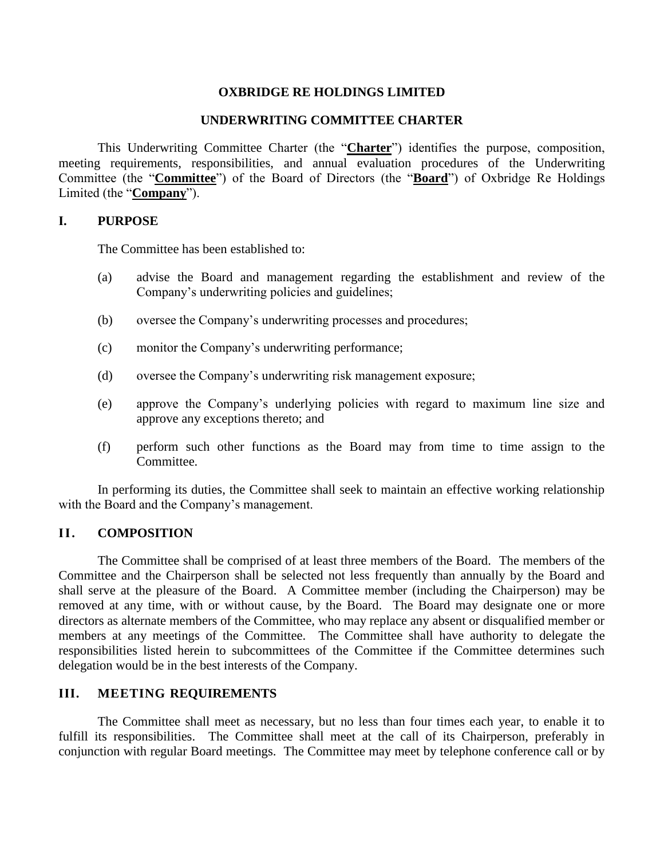# **OXBRIDGE RE HOLDINGS LIMITED**

## **UNDERWRITING COMMITTEE CHARTER**

This Underwriting Committee Charter (the "**Charter**") identifies the purpose, composition, meeting requirements, responsibilities, and annual evaluation procedures of the Underwriting Committee (the "**Committee**") of the Board of Directors (the "**Board**") of Oxbridge Re Holdings Limited (the "**Company**").

#### **I. PURPOSE**

The Committee has been established to:

- (a) advise the Board and management regarding the establishment and review of the Company's underwriting policies and guidelines;
- (b) oversee the Company's underwriting processes and procedures;
- (c) monitor the Company's underwriting performance;
- (d) oversee the Company's underwriting risk management exposure;
- (e) approve the Company's underlying policies with regard to maximum line size and approve any exceptions thereto; and
- (f) perform such other functions as the Board may from time to time assign to the Committee.

In performing its duties, the Committee shall seek to maintain an effective working relationship with the Board and the Company's management.

## **II. COMPOSITION**

The Committee shall be comprised of at least three members of the Board. The members of the Committee and the Chairperson shall be selected not less frequently than annually by the Board and shall serve at the pleasure of the Board. A Committee member (including the Chairperson) may be removed at any time, with or without cause, by the Board. The Board may designate one or more directors as alternate members of the Committee, who may replace any absent or disqualified member or members at any meetings of the Committee. The Committee shall have authority to delegate the responsibilities listed herein to subcommittees of the Committee if the Committee determines such delegation would be in the best interests of the Company.

## **III. MEETING REQUIREMENTS**

The Committee shall meet as necessary, but no less than four times each year, to enable it to fulfill its responsibilities. The Committee shall meet at the call of its Chairperson, preferably in conjunction with regular Board meetings. The Committee may meet by telephone conference call or by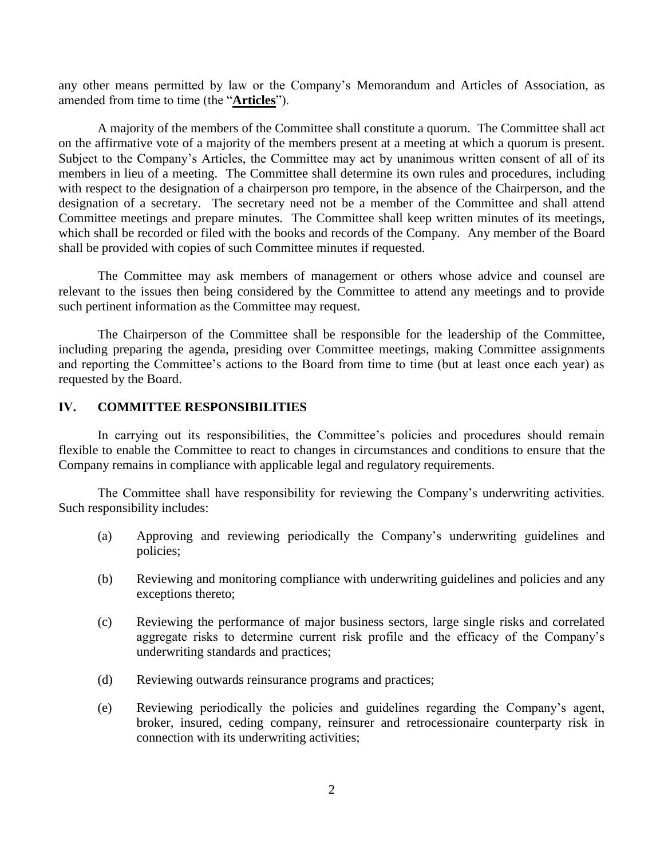any other means permitted by law or the Company's Memorandum and Articles of Association, as amended from time to time (the "**Articles**").

A majority of the members of the Committee shall constitute a quorum. The Committee shall act on the affirmative vote of a majority of the members present at a meeting at which a quorum is present. Subject to the Company's Articles, the Committee may act by unanimous written consent of all of its members in lieu of a meeting. The Committee shall determine its own rules and procedures, including with respect to the designation of a chairperson pro tempore, in the absence of the Chairperson, and the designation of a secretary. The secretary need not be a member of the Committee and shall attend Committee meetings and prepare minutes. The Committee shall keep written minutes of its meetings, which shall be recorded or filed with the books and records of the Company. Any member of the Board shall be provided with copies of such Committee minutes if requested.

The Committee may ask members of management or others whose advice and counsel are relevant to the issues then being considered by the Committee to attend any meetings and to provide such pertinent information as the Committee may request.

The Chairperson of the Committee shall be responsible for the leadership of the Committee, including preparing the agenda, presiding over Committee meetings, making Committee assignments and reporting the Committee's actions to the Board from time to time (but at least once each year) as requested by the Board.

#### **IV. COMMITTEE RESPONSIBILITIES**

In carrying out its responsibilities, the Committee's policies and procedures should remain flexible to enable the Committee to react to changes in circumstances and conditions to ensure that the Company remains in compliance with applicable legal and regulatory requirements.

The Committee shall have responsibility for reviewing the Company's underwriting activities. Such responsibility includes:

- (a) Approving and reviewing periodically the Company's underwriting guidelines and policies;
- (b) Reviewing and monitoring compliance with underwriting guidelines and policies and any exceptions thereto;
- (c) Reviewing the performance of major business sectors, large single risks and correlated aggregate risks to determine current risk profile and the efficacy of the Company's underwriting standards and practices;
- (d) Reviewing outwards reinsurance programs and practices;
- (e) Reviewing periodically the policies and guidelines regarding the Company's agent, broker, insured, ceding company, reinsurer and retrocessionaire counterparty risk in connection with its underwriting activities;